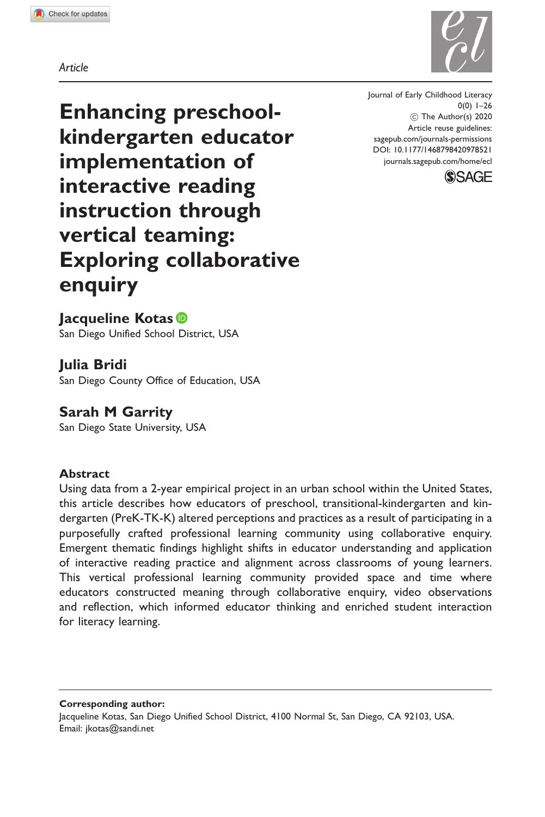Article

Enhancing preschoolkindergarten educator implementation of interactive reading instruction through vertical teaming: Exploring collaborative enquiry

Journal of Early Childhood Literacy  $0(0)$  1–26 ! The Author(s) 2020 Article reuse guidelines: [sagepub.com/journals-permissions](http://uk.sagepub.com/en-gb/journals-permissions) [DOI: 10.1177/1468798420978521](http://dx.doi.org/10.1177/1468798420978521) <journals.sagepub.com/home/ecl>



# Jacqueline Kotas<sup>®</sup>

San Diego Unified School District, USA

## Julia Bridi

San Diego County Office of Education, USA

### Sarah M Garrity

San Diego State University, USA

#### Abstract

Using data from a 2-year empirical project in an urban school within the United States, this article describes how educators of preschool, transitional-kindergarten and kindergarten (PreK-TK-K) altered perceptions and practices as a result of participating in a purposefully crafted professional learning community using collaborative enquiry. Emergent thematic findings highlight shifts in educator understanding and application of interactive reading practice and alignment across classrooms of young learners. This vertical professional learning community provided space and time where educators constructed meaning through collaborative enquiry, video observations and reflection, which informed educator thinking and enriched student interaction for literacy learning.

Corresponding author:

Jacqueline Kotas, San Diego Unified School District, 4100 Normal St, San Diego, CA 92103, USA. Email: [jkotas@sandi.net](mailto:jkotas@sandi.net)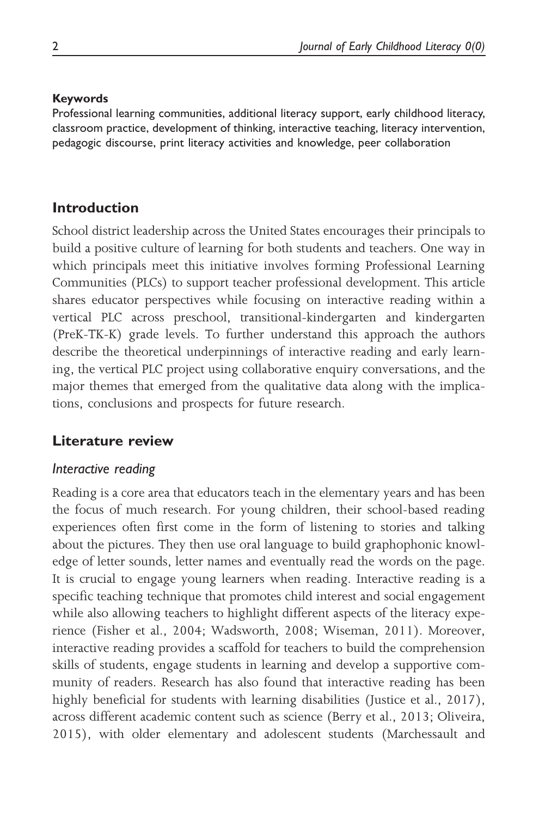#### Keywords

Professional learning communities, additional literacy support, early childhood literacy, classroom practice, development of thinking, interactive teaching, literacy intervention, pedagogic discourse, print literacy activities and knowledge, peer collaboration

# Introduction

School district leadership across the United States encourages their principals to build a positive culture of learning for both students and teachers. One way in which principals meet this initiative involves forming Professional Learning Communities (PLCs) to support teacher professional development. This article shares educator perspectives while focusing on interactive reading within a vertical PLC across preschool, transitional-kindergarten and kindergarten (PreK-TK-K) grade levels. To further understand this approach the authors describe the theoretical underpinnings of interactive reading and early learning, the vertical PLC project using collaborative enquiry conversations, and the major themes that emerged from the qualitative data along with the implications, conclusions and prospects for future research.

# Literature review

# Interactive reading

Reading is a core area that educators teach in the elementary years and has been the focus of much research. For young children, their school-based reading experiences often first come in the form of listening to stories and talking about the pictures. They then use oral language to build graphophonic knowledge of letter sounds, letter names and eventually read the words on the page. It is crucial to engage young learners when reading. Interactive reading is a specific teaching technique that promotes child interest and social engagement while also allowing teachers to highlight different aspects of the literacy experience (Fisher et al., 2004; Wadsworth, 2008; Wiseman, 2011). Moreover, interactive reading provides a scaffold for teachers to build the comprehension skills of students, engage students in learning and develop a supportive community of readers. Research has also found that interactive reading has been highly beneficial for students with learning disabilities (Justice et al., 2017), across different academic content such as science (Berry et al., 2013; Oliveira, 2015), with older elementary and adolescent students (Marchessault and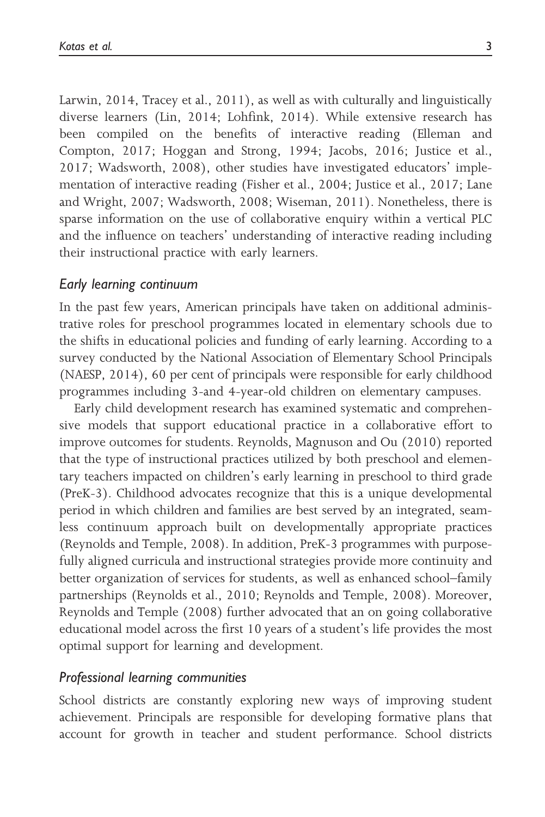Larwin, 2014, Tracey et al., 2011), as well as with culturally and linguistically diverse learners (Lin, 2014; Lohfink, 2014). While extensive research has been compiled on the benefits of interactive reading (Elleman and Compton, 2017; Hoggan and Strong, 1994; Jacobs, 2016; Justice et al., 2017; Wadsworth, 2008), other studies have investigated educators' implementation of interactive reading (Fisher et al., 2004; Justice et al., 2017; Lane and Wright, 2007; Wadsworth, 2008; Wiseman, 2011). Nonetheless, there is sparse information on the use of collaborative enquiry within a vertical PLC and the influence on teachers' understanding of interactive reading including their instructional practice with early learners.

#### Early learning continuum

In the past few years, American principals have taken on additional administrative roles for preschool programmes located in elementary schools due to the shifts in educational policies and funding of early learning. According to a survey conducted by the National Association of Elementary School Principals (NAESP, 2014), 60 per cent of principals were responsible for early childhood programmes including 3-and 4-year-old children on elementary campuses.

Early child development research has examined systematic and comprehensive models that support educational practice in a collaborative effort to improve outcomes for students. Reynolds, Magnuson and Ou (2010) reported that the type of instructional practices utilized by both preschool and elementary teachers impacted on children's early learning in preschool to third grade (PreK-3). Childhood advocates recognize that this is a unique developmental period in which children and families are best served by an integrated, seamless continuum approach built on developmentally appropriate practices (Reynolds and Temple, 2008). In addition, PreK-3 programmes with purposefully aligned curricula and instructional strategies provide more continuity and better organization of services for students, as well as enhanced school–family partnerships (Reynolds et al., 2010; Reynolds and Temple, 2008). Moreover, Reynolds and Temple (2008) further advocated that an on going collaborative educational model across the first 10 years of a student's life provides the most optimal support for learning and development.

#### Professional learning communities

School districts are constantly exploring new ways of improving student achievement. Principals are responsible for developing formative plans that account for growth in teacher and student performance. School districts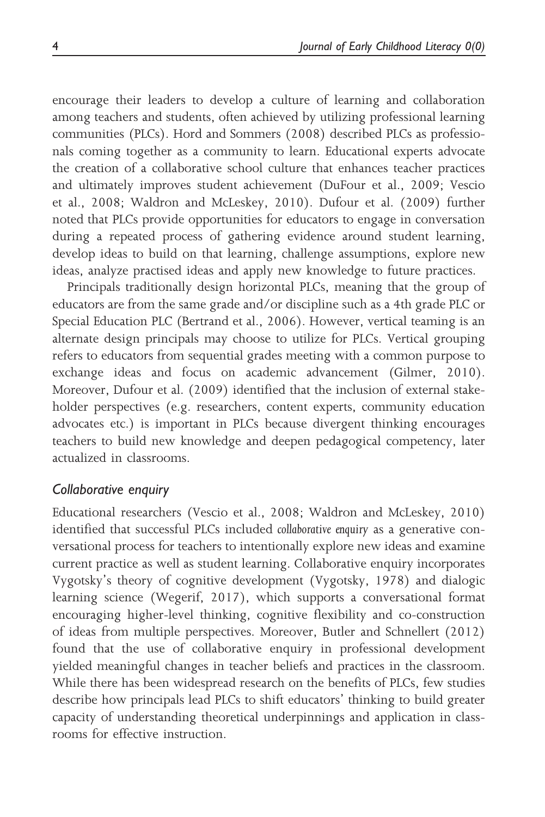encourage their leaders to develop a culture of learning and collaboration among teachers and students, often achieved by utilizing professional learning communities (PLCs). Hord and Sommers (2008) described PLCs as professionals coming together as a community to learn. Educational experts advocate the creation of a collaborative school culture that enhances teacher practices and ultimately improves student achievement (DuFour et al., 2009; Vescio et al., 2008; Waldron and McLeskey, 2010). Dufour et al. (2009) further noted that PLCs provide opportunities for educators to engage in conversation during a repeated process of gathering evidence around student learning, develop ideas to build on that learning, challenge assumptions, explore new ideas, analyze practised ideas and apply new knowledge to future practices.

Principals traditionally design horizontal PLCs, meaning that the group of educators are from the same grade and/or discipline such as a 4th grade PLC or Special Education PLC (Bertrand et al., 2006). However, vertical teaming is an alternate design principals may choose to utilize for PLCs. Vertical grouping refers to educators from sequential grades meeting with a common purpose to exchange ideas and focus on academic advancement (Gilmer, 2010). Moreover, Dufour et al. (2009) identified that the inclusion of external stakeholder perspectives (e.g. researchers, content experts, community education advocates etc.) is important in PLCs because divergent thinking encourages teachers to build new knowledge and deepen pedagogical competency, later actualized in classrooms.

### Collaborative enquiry

Educational researchers (Vescio et al., 2008; Waldron and McLeskey, 2010) identified that successful PLCs included collaborative enquiry as a generative conversational process for teachers to intentionally explore new ideas and examine current practice as well as student learning. Collaborative enquiry incorporates Vygotsky's theory of cognitive development (Vygotsky, 1978) and dialogic learning science (Wegerif, 2017), which supports a conversational format encouraging higher-level thinking, cognitive flexibility and co-construction of ideas from multiple perspectives. Moreover, Butler and Schnellert (2012) found that the use of collaborative enquiry in professional development yielded meaningful changes in teacher beliefs and practices in the classroom. While there has been widespread research on the benefits of PLCs, few studies describe how principals lead PLCs to shift educators' thinking to build greater capacity of understanding theoretical underpinnings and application in classrooms for effective instruction.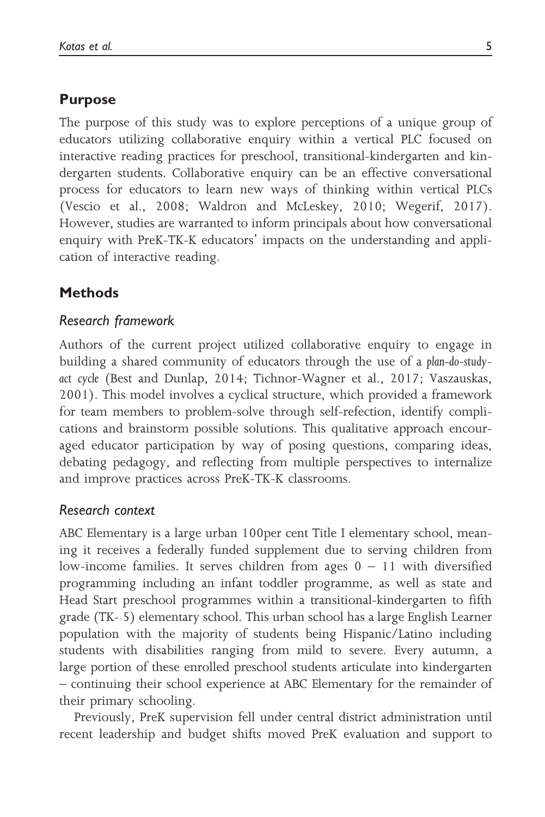## Purpose

The purpose of this study was to explore perceptions of a unique group of educators utilizing collaborative enquiry within a vertical PLC focused on interactive reading practices for preschool, transitional-kindergarten and kindergarten students. Collaborative enquiry can be an effective conversational process for educators to learn new ways of thinking within vertical PLCs (Vescio et al., 2008; Waldron and McLeskey, 2010; Wegerif, 2017). However, studies are warranted to inform principals about how conversational enquiry with PreK-TK-K educators' impacts on the understanding and application of interactive reading.

# Methods

#### Research framework

Authors of the current project utilized collaborative enquiry to engage in building a shared community of educators through the use of a plan-do-studyact cycle (Best and Dunlap, 2014; Tichnor-Wagner et al., 2017; Vaszauskas, 2001). This model involves a cyclical structure, which provided a framework for team members to problem-solve through self-refection, identify complications and brainstorm possible solutions. This qualitative approach encouraged educator participation by way of posing questions, comparing ideas, debating pedagogy, and reflecting from multiple perspectives to internalize and improve practices across PreK-TK-K classrooms.

### Research context

ABC Elementary is a large urban 100per cent Title I elementary school, meaning it receives a federally funded supplement due to serving children from low-income families. It serves children from ages  $0 - 11$  with diversified programming including an infant toddler programme, as well as state and Head Start preschool programmes within a transitional-kindergarten to fifth grade (TK- 5) elementary school. This urban school has a large English Learner population with the majority of students being Hispanic/Latino including students with disabilities ranging from mild to severe. Every autumn, a large portion of these enrolled preschool students articulate into kindergarten – continuing their school experience at ABC Elementary for the remainder of their primary schooling.

Previously, PreK supervision fell under central district administration until recent leadership and budget shifts moved PreK evaluation and support to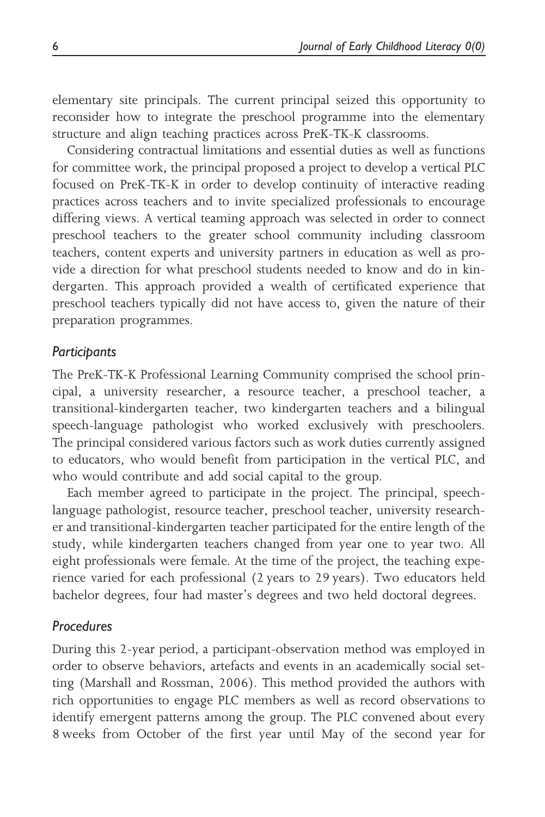elementary site principals. The current principal seized this opportunity to reconsider how to integrate the preschool programme into the elementary structure and align teaching practices across PreK-TK-K classrooms.

Considering contractual limitations and essential duties as well as functions for committee work, the principal proposed a project to develop a vertical PLC focused on PreK-TK-K in order to develop continuity of interactive reading practices across teachers and to invite specialized professionals to encourage differing views. A vertical teaming approach was selected in order to connect preschool teachers to the greater school community including classroom teachers, content experts and university partners in education as well as provide a direction for what preschool students needed to know and do in kindergarten. This approach provided a wealth of certificated experience that preschool teachers typically did not have access to, given the nature of their preparation programmes.

#### **Participants**

The PreK-TK-K Professional Learning Community comprised the school principal, a university researcher, a resource teacher, a preschool teacher, a transitional-kindergarten teacher, two kindergarten teachers and a bilingual speech-language pathologist who worked exclusively with preschoolers. The principal considered various factors such as work duties currently assigned to educators, who would benefit from participation in the vertical PLC, and who would contribute and add social capital to the group.

Each member agreed to participate in the project. The principal, speechlanguage pathologist, resource teacher, preschool teacher, university researcher and transitional-kindergarten teacher participated for the entire length of the study, while kindergarten teachers changed from year one to year two. All eight professionals were female. At the time of the project, the teaching experience varied for each professional (2 years to 29 years). Two educators held bachelor degrees, four had master's degrees and two held doctoral degrees.

### Procedures

During this 2-year period, a participant-observation method was employed in order to observe behaviors, artefacts and events in an academically social setting (Marshall and Rossman, 2006). This method provided the authors with rich opportunities to engage PLC members as well as record observations to identify emergent patterns among the group. The PLC convened about every 8 weeks from October of the first year until May of the second year for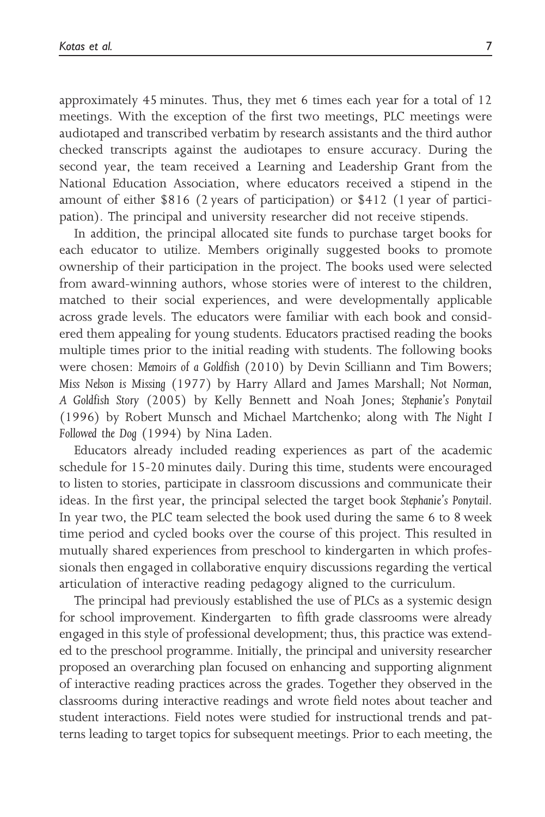approximately 45 minutes. Thus, they met 6 times each year for a total of 12 meetings. With the exception of the first two meetings, PLC meetings were audiotaped and transcribed verbatim by research assistants and the third author checked transcripts against the audiotapes to ensure accuracy. During the second year, the team received a Learning and Leadership Grant from the National Education Association, where educators received a stipend in the amount of either \$816 (2 years of participation) or \$412 (1 year of participation). The principal and university researcher did not receive stipends.

In addition, the principal allocated site funds to purchase target books for each educator to utilize. Members originally suggested books to promote ownership of their participation in the project. The books used were selected from award-winning authors, whose stories were of interest to the children, matched to their social experiences, and were developmentally applicable across grade levels. The educators were familiar with each book and considered them appealing for young students. Educators practised reading the books multiple times prior to the initial reading with students. The following books were chosen: Memoirs of a Goldfish (2010) by Devin Scilliann and Tim Bowers; Miss Nelson is Missing (1977) by Harry Allard and James Marshall; Not Norman, A Goldfish Story (2005) by Kelly Bennett and Noah Jones; Stephanie's Ponytail (1996) by Robert Munsch and Michael Martchenko; along with The Night I Followed the Dog (1994) by Nina Laden.

Educators already included reading experiences as part of the academic schedule for 15-20 minutes daily. During this time, students were encouraged to listen to stories, participate in classroom discussions and communicate their ideas. In the first year, the principal selected the target book Stephanie's Ponytail. In year two, the PLC team selected the book used during the same 6 to 8 week time period and cycled books over the course of this project. This resulted in mutually shared experiences from preschool to kindergarten in which professionals then engaged in collaborative enquiry discussions regarding the vertical articulation of interactive reading pedagogy aligned to the curriculum.

The principal had previously established the use of PLCs as a systemic design for school improvement. Kindergarten to fifth grade classrooms were already engaged in this style of professional development; thus, this practice was extended to the preschool programme. Initially, the principal and university researcher proposed an overarching plan focused on enhancing and supporting alignment of interactive reading practices across the grades. Together they observed in the classrooms during interactive readings and wrote field notes about teacher and student interactions. Field notes were studied for instructional trends and patterns leading to target topics for subsequent meetings. Prior to each meeting, the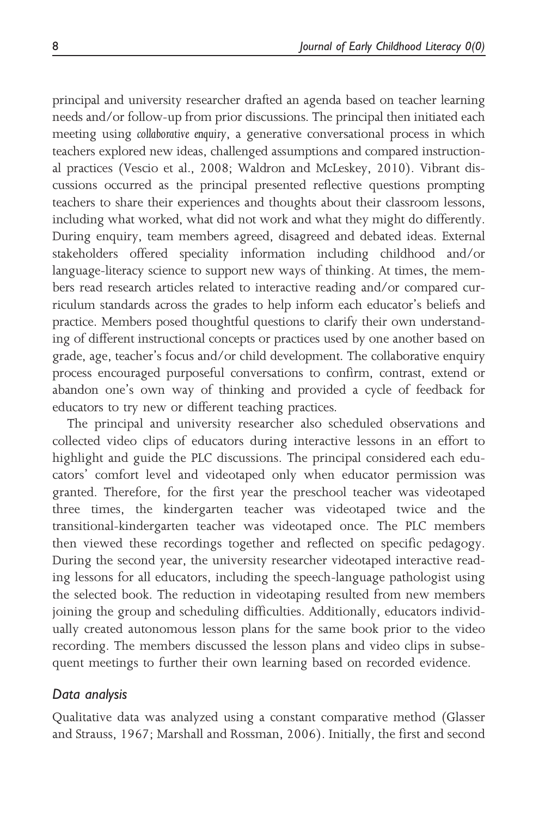principal and university researcher drafted an agenda based on teacher learning needs and/or follow-up from prior discussions. The principal then initiated each meeting using collaborative enquiry, a generative conversational process in which teachers explored new ideas, challenged assumptions and compared instructional practices (Vescio et al., 2008; Waldron and McLeskey, 2010). Vibrant discussions occurred as the principal presented reflective questions prompting teachers to share their experiences and thoughts about their classroom lessons, including what worked, what did not work and what they might do differently. During enquiry, team members agreed, disagreed and debated ideas. External stakeholders offered speciality information including childhood and/or language-literacy science to support new ways of thinking. At times, the members read research articles related to interactive reading and/or compared curriculum standards across the grades to help inform each educator's beliefs and practice. Members posed thoughtful questions to clarify their own understanding of different instructional concepts or practices used by one another based on grade, age, teacher's focus and/or child development. The collaborative enquiry process encouraged purposeful conversations to confirm, contrast, extend or abandon one's own way of thinking and provided a cycle of feedback for educators to try new or different teaching practices.

The principal and university researcher also scheduled observations and collected video clips of educators during interactive lessons in an effort to highlight and guide the PLC discussions. The principal considered each educators' comfort level and videotaped only when educator permission was granted. Therefore, for the first year the preschool teacher was videotaped three times, the kindergarten teacher was videotaped twice and the transitional-kindergarten teacher was videotaped once. The PLC members then viewed these recordings together and reflected on specific pedagogy. During the second year, the university researcher videotaped interactive reading lessons for all educators, including the speech-language pathologist using the selected book. The reduction in videotaping resulted from new members joining the group and scheduling difficulties. Additionally, educators individually created autonomous lesson plans for the same book prior to the video recording. The members discussed the lesson plans and video clips in subsequent meetings to further their own learning based on recorded evidence.

### Data analysis

Qualitative data was analyzed using a constant comparative method (Glasser and Strauss, 1967; Marshall and Rossman, 2006). Initially, the first and second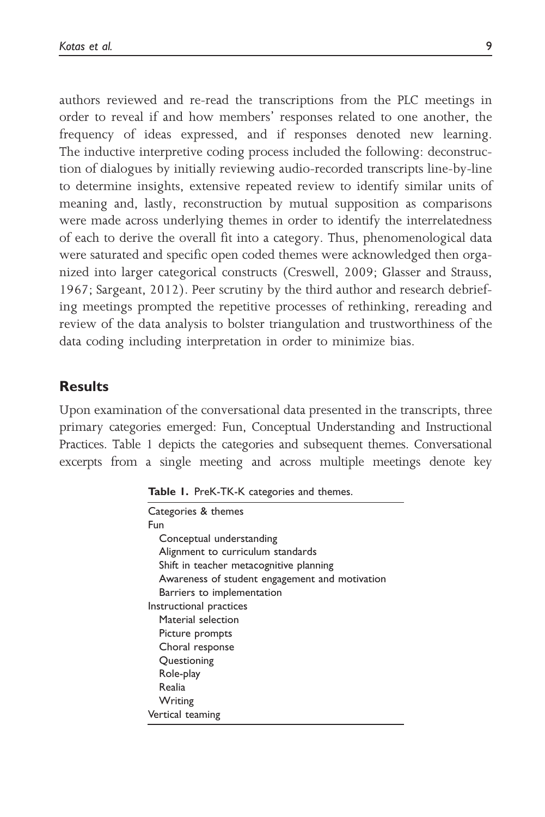authors reviewed and re-read the transcriptions from the PLC meetings in order to reveal if and how members' responses related to one another, the frequency of ideas expressed, and if responses denoted new learning. The inductive interpretive coding process included the following: deconstruction of dialogues by initially reviewing audio-recorded transcripts line-by-line to determine insights, extensive repeated review to identify similar units of meaning and, lastly, reconstruction by mutual supposition as comparisons were made across underlying themes in order to identify the interrelatedness of each to derive the overall fit into a category. Thus, phenomenological data were saturated and specific open coded themes were acknowledged then organized into larger categorical constructs (Creswell, 2009; Glasser and Strauss, 1967; Sargeant, 2012). Peer scrutiny by the third author and research debriefing meetings prompted the repetitive processes of rethinking, rereading and review of the data analysis to bolster triangulation and trustworthiness of the data coding including interpretation in order to minimize bias.

# **Results**

Upon examination of the conversational data presented in the transcripts, three primary categories emerged: Fun, Conceptual Understanding and Instructional Practices. Table 1 depicts the categories and subsequent themes. Conversational excerpts from a single meeting and across multiple meetings denote key

|  | Table 1. PreK-TK-K categories and themes. |  |  |  |
|--|-------------------------------------------|--|--|--|
|--|-------------------------------------------|--|--|--|

| Categories & themes                            |
|------------------------------------------------|
| Fun                                            |
| Conceptual understanding                       |
| Alignment to curriculum standards              |
| Shift in teacher metacognitive planning        |
| Awareness of student engagement and motivation |
| Barriers to implementation                     |
| Instructional practices                        |
| Material selection                             |
| Picture prompts                                |
| Choral response                                |
| Questioning                                    |
| Role-play                                      |
| Realia                                         |
| Writing                                        |
| Vertical teaming                               |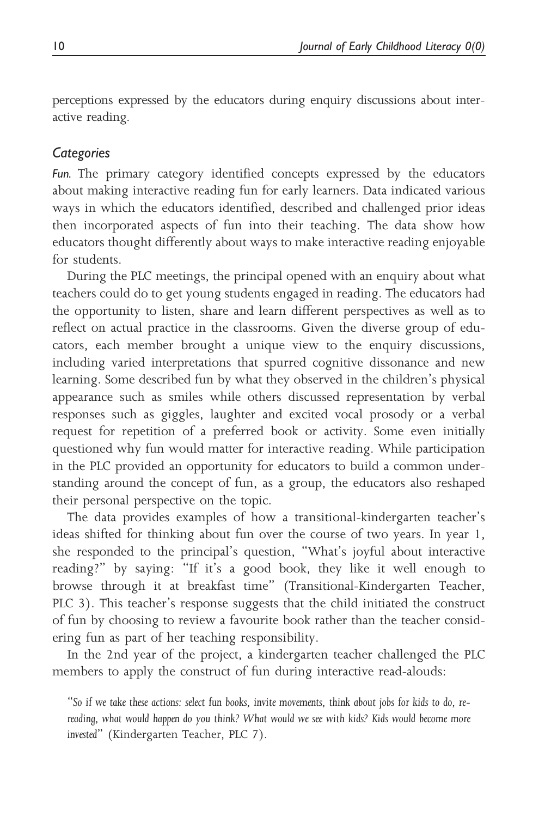perceptions expressed by the educators during enquiry discussions about interactive reading.

#### **Categories**

Fun. The primary category identified concepts expressed by the educators about making interactive reading fun for early learners. Data indicated various ways in which the educators identified, described and challenged prior ideas then incorporated aspects of fun into their teaching. The data show how educators thought differently about ways to make interactive reading enjoyable for students.

During the PLC meetings, the principal opened with an enquiry about what teachers could do to get young students engaged in reading. The educators had the opportunity to listen, share and learn different perspectives as well as to reflect on actual practice in the classrooms. Given the diverse group of educators, each member brought a unique view to the enquiry discussions, including varied interpretations that spurred cognitive dissonance and new learning. Some described fun by what they observed in the children's physical appearance such as smiles while others discussed representation by verbal responses such as giggles, laughter and excited vocal prosody or a verbal request for repetition of a preferred book or activity. Some even initially questioned why fun would matter for interactive reading. While participation in the PLC provided an opportunity for educators to build a common understanding around the concept of fun, as a group, the educators also reshaped their personal perspective on the topic.

The data provides examples of how a transitional-kindergarten teacher's ideas shifted for thinking about fun over the course of two years. In year 1, she responded to the principal's question, "What's joyful about interactive reading?" by saying: "If it's a good book, they like it well enough to browse through it at breakfast time" (Transitional-Kindergarten Teacher, PLC 3). This teacher's response suggests that the child initiated the construct of fun by choosing to review a favourite book rather than the teacher considering fun as part of her teaching responsibility.

In the 2nd year of the project, a kindergarten teacher challenged the PLC members to apply the construct of fun during interactive read-alouds:

<sup>&</sup>quot;So if we take these actions: select fun books, invite movements, think about jobs for kids to do, rereading, what would happen do you think? What would we see with kids? Kids would become more invested" (Kindergarten Teacher, PLC 7).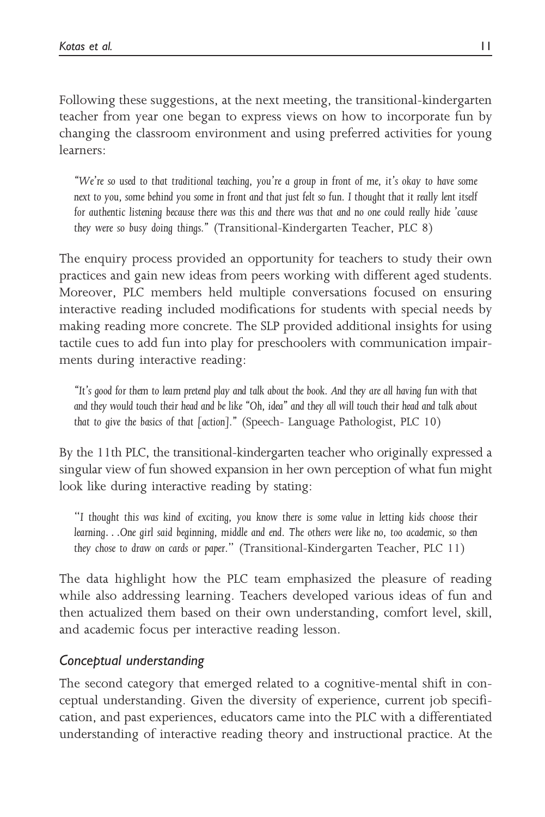Following these suggestions, at the next meeting, the transitional-kindergarten teacher from year one began to express views on how to incorporate fun by changing the classroom environment and using preferred activities for young learners:

"We're so used to that traditional teaching, you're a group in front of me, it's okay to have some next to you, some behind you some in front and that just felt so fun. I thought that it really lent itself for authentic listening because there was this and there was that and no one could really hide 'cause they were so busy doing things." (Transitional-Kindergarten Teacher, PLC 8)

The enquiry process provided an opportunity for teachers to study their own practices and gain new ideas from peers working with different aged students. Moreover, PLC members held multiple conversations focused on ensuring interactive reading included modifications for students with special needs by making reading more concrete. The SLP provided additional insights for using tactile cues to add fun into play for preschoolers with communication impairments during interactive reading:

"It's good for them to learn pretend play and talk about the book. And they are all having fun with that and they would touch their head and be like "Oh, idea" and they all will touch their head and talk about that to give the basics of that [action]." (Speech- Language Pathologist, PLC 10)

By the 11th PLC, the transitional-kindergarten teacher who originally expressed a singular view of fun showed expansion in her own perception of what fun might look like during interactive reading by stating:

"I thought this was kind of exciting, you know there is some value in letting kids choose their learning...One girl said beginning, middle and end. The others were like no, too academic, so then they chose to draw on cards or paper." (Transitional-Kindergarten Teacher, PLC 11)

The data highlight how the PLC team emphasized the pleasure of reading while also addressing learning. Teachers developed various ideas of fun and then actualized them based on their own understanding, comfort level, skill, and academic focus per interactive reading lesson.

# Conceptual understanding

The second category that emerged related to a cognitive-mental shift in conceptual understanding. Given the diversity of experience, current job specification, and past experiences, educators came into the PLC with a differentiated understanding of interactive reading theory and instructional practice. At the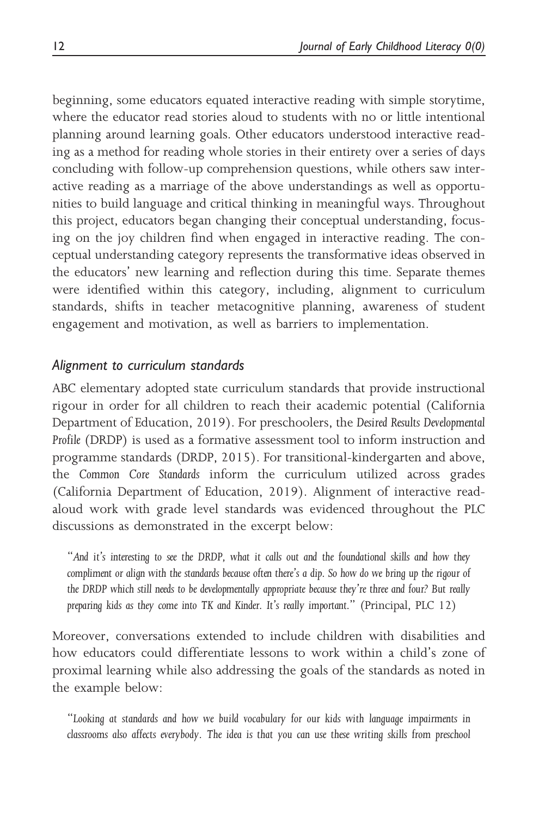beginning, some educators equated interactive reading with simple storytime, where the educator read stories aloud to students with no or little intentional planning around learning goals. Other educators understood interactive reading as a method for reading whole stories in their entirety over a series of days concluding with follow-up comprehension questions, while others saw interactive reading as a marriage of the above understandings as well as opportunities to build language and critical thinking in meaningful ways. Throughout this project, educators began changing their conceptual understanding, focusing on the joy children find when engaged in interactive reading. The conceptual understanding category represents the transformative ideas observed in the educators' new learning and reflection during this time. Separate themes were identified within this category, including, alignment to curriculum standards, shifts in teacher metacognitive planning, awareness of student engagement and motivation, as well as barriers to implementation.

### Alignment to curriculum standards

ABC elementary adopted state curriculum standards that provide instructional rigour in order for all children to reach their academic potential (California Department of Education, 2019). For preschoolers, the Desired Results Developmental Profile (DRDP) is used as a formative assessment tool to inform instruction and programme standards (DRDP, 2015). For transitional-kindergarten and above, the Common Core Standards inform the curriculum utilized across grades (California Department of Education, 2019). Alignment of interactive readaloud work with grade level standards was evidenced throughout the PLC discussions as demonstrated in the excerpt below:

"And it's interesting to see the DRDP, what it calls out and the foundational skills and how they compliment or align with the standards because often there's a dip. So how do we bring up the rigour of the DRDP which still needs to be developmentally appropriate because they're three and four? But really preparing kids as they come into TK and Kinder. It's really important." (Principal, PLC 12)

Moreover, conversations extended to include children with disabilities and how educators could differentiate lessons to work within a child's zone of proximal learning while also addressing the goals of the standards as noted in the example below:

"Looking at standards and how we build vocabulary for our kids with language impairments in classrooms also affects everybody. The idea is that you can use these writing skills from preschool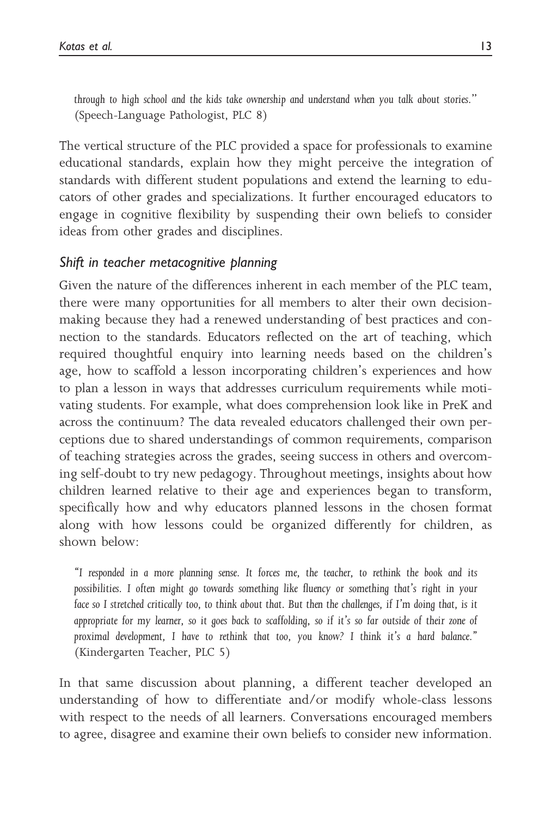through to high school and the kids take ownership and understand when you talk about stories." (Speech-Language Pathologist, PLC 8)

The vertical structure of the PLC provided a space for professionals to examine educational standards, explain how they might perceive the integration of standards with different student populations and extend the learning to educators of other grades and specializations. It further encouraged educators to engage in cognitive flexibility by suspending their own beliefs to consider ideas from other grades and disciplines.

## Shift in teacher metacognitive planning

Given the nature of the differences inherent in each member of the PLC team, there were many opportunities for all members to alter their own decisionmaking because they had a renewed understanding of best practices and connection to the standards. Educators reflected on the art of teaching, which required thoughtful enquiry into learning needs based on the children's age, how to scaffold a lesson incorporating children's experiences and how to plan a lesson in ways that addresses curriculum requirements while motivating students. For example, what does comprehension look like in PreK and across the continuum? The data revealed educators challenged their own perceptions due to shared understandings of common requirements, comparison of teaching strategies across the grades, seeing success in others and overcoming self-doubt to try new pedagogy. Throughout meetings, insights about how children learned relative to their age and experiences began to transform, specifically how and why educators planned lessons in the chosen format along with how lessons could be organized differently for children, as shown below:

"I responded in a more planning sense. It forces me, the teacher, to rethink the book and its possibilities. I often might go towards something like fluency or something that's right in your face so I stretched critically too, to think about that. But then the challenges, if I'm doing that, is it appropriate for my learner, so it goes back to scaffolding, so if it's so far outside of their zone of proximal development, I have to rethink that too, you know? I think it's a hard balance." (Kindergarten Teacher, PLC 5)

In that same discussion about planning, a different teacher developed an understanding of how to differentiate and/or modify whole-class lessons with respect to the needs of all learners. Conversations encouraged members to agree, disagree and examine their own beliefs to consider new information.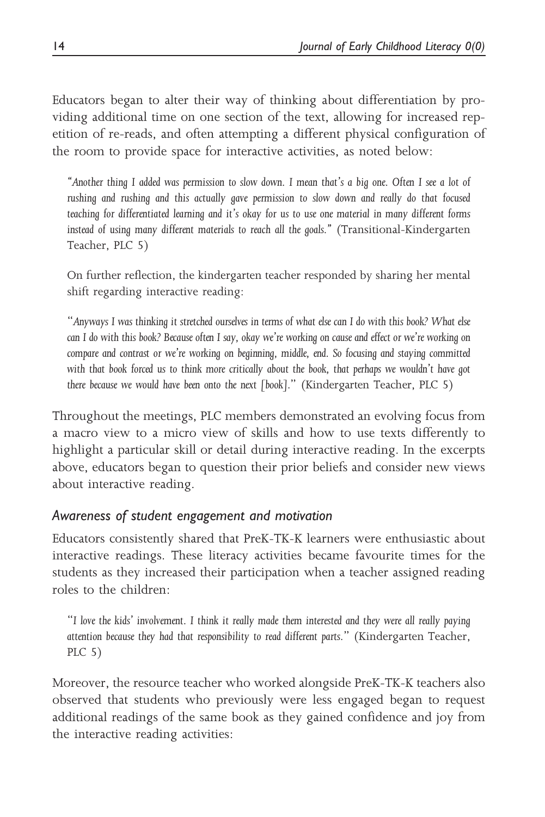Educators began to alter their way of thinking about differentiation by providing additional time on one section of the text, allowing for increased repetition of re-reads, and often attempting a different physical configuration of the room to provide space for interactive activities, as noted below:

"Another thing I added was permission to slow down. I mean that's a big one. Often I see a lot of rushing and rushing and this actually gave permission to slow down and really do that focused teaching for differentiated learning and it's okay for us to use one material in many different forms instead of using many different materials to reach all the goals." (Transitional-Kindergarten Teacher, PLC 5)

On further reflection, the kindergarten teacher responded by sharing her mental shift regarding interactive reading:

"Anyways I was thinking it stretched ourselves in terms of what else can I do with this book? What else can I do with this book? Because often I say, okay we're working on cause and effect or we're working on compare and contrast or we're working on beginning, middle, end. So focusing and staying committed with that book forced us to think more critically about the book, that perhaps we wouldn't have got there because we would have been onto the next [book]." (Kindergarten Teacher, PLC 5)

Throughout the meetings, PLC members demonstrated an evolving focus from a macro view to a micro view of skills and how to use texts differently to highlight a particular skill or detail during interactive reading. In the excerpts above, educators began to question their prior beliefs and consider new views about interactive reading.

### Awareness of student engagement and motivation

Educators consistently shared that PreK-TK-K learners were enthusiastic about interactive readings. These literacy activities became favourite times for the students as they increased their participation when a teacher assigned reading roles to the children:

"I love the kids' involvement. I think it really made them interested and they were all really paying attention because they had that responsibility to read different parts." (Kindergarten Teacher, PLC 5)

Moreover, the resource teacher who worked alongside PreK-TK-K teachers also observed that students who previously were less engaged began to request additional readings of the same book as they gained confidence and joy from the interactive reading activities: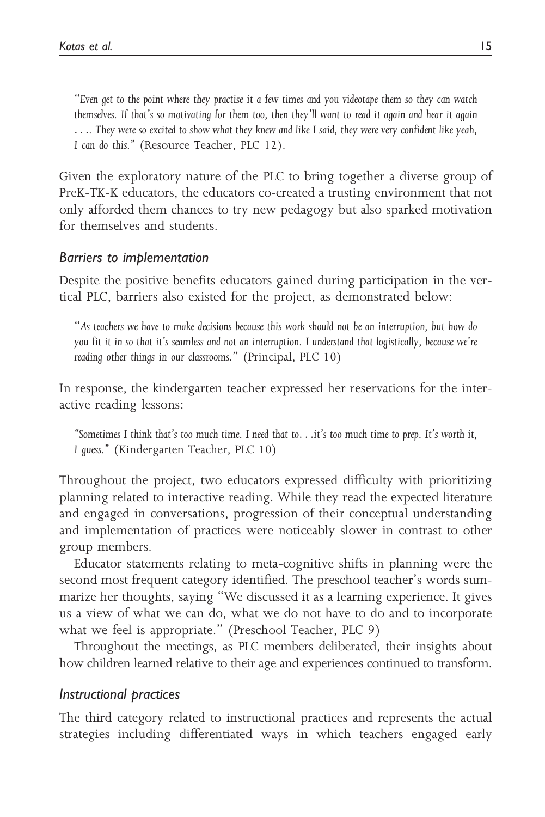"Even get to the point where they practise it a few times and you videotape them so they can watch themselves. If that's so motivating for them too, then they'll want to read it again and hear it again .... They were so excited to show what they knew and like I said, they were very confident like yeah, I can do this." (Resource Teacher, PLC 12).

Given the exploratory nature of the PLC to bring together a diverse group of PreK-TK-K educators, the educators co-created a trusting environment that not only afforded them chances to try new pedagogy but also sparked motivation for themselves and students.

### Barriers to implementation

Despite the positive benefits educators gained during participation in the vertical PLC, barriers also existed for the project, as demonstrated below:

"As teachers we have to make decisions because this work should not be an interruption, but how do you fit it in so that it's seamless and not an interruption. I understand that logistically, because we're reading other things in our classrooms." (Principal, PLC 10)

In response, the kindergarten teacher expressed her reservations for the interactive reading lessons:

"Sometimes I think that's too much time. I need that to...it's too much time to prep. It's worth it, I guess." (Kindergarten Teacher, PLC 10)

Throughout the project, two educators expressed difficulty with prioritizing planning related to interactive reading. While they read the expected literature and engaged in conversations, progression of their conceptual understanding and implementation of practices were noticeably slower in contrast to other group members.

Educator statements relating to meta-cognitive shifts in planning were the second most frequent category identified. The preschool teacher's words summarize her thoughts, saying "We discussed it as a learning experience. It gives us a view of what we can do, what we do not have to do and to incorporate what we feel is appropriate." (Preschool Teacher, PLC 9)

Throughout the meetings, as PLC members deliberated, their insights about how children learned relative to their age and experiences continued to transform.

#### Instructional practices

The third category related to instructional practices and represents the actual strategies including differentiated ways in which teachers engaged early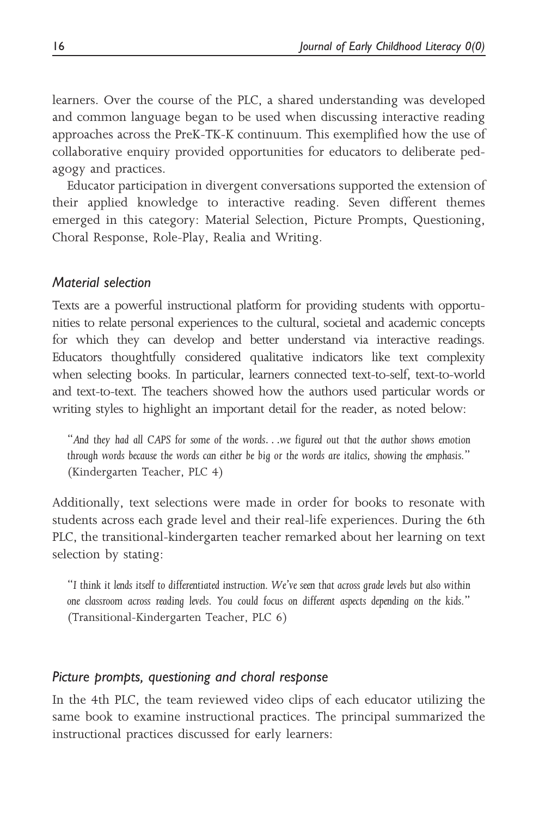learners. Over the course of the PLC, a shared understanding was developed and common language began to be used when discussing interactive reading approaches across the PreK-TK-K continuum. This exemplified how the use of collaborative enquiry provided opportunities for educators to deliberate pedagogy and practices.

Educator participation in divergent conversations supported the extension of their applied knowledge to interactive reading. Seven different themes emerged in this category: Material Selection, Picture Prompts, Questioning, Choral Response, Role-Play, Realia and Writing.

#### Material selection

Texts are a powerful instructional platform for providing students with opportunities to relate personal experiences to the cultural, societal and academic concepts for which they can develop and better understand via interactive readings. Educators thoughtfully considered qualitative indicators like text complexity when selecting books. In particular, learners connected text-to-self, text-to-world and text-to-text. The teachers showed how the authors used particular words or writing styles to highlight an important detail for the reader, as noted below:

"And they had all CAPS for some of the words...we figured out that the author shows emotion through words because the words can either be big or the words are italics, showing the emphasis." (Kindergarten Teacher, PLC 4)

Additionally, text selections were made in order for books to resonate with students across each grade level and their real-life experiences. During the 6th PLC, the transitional-kindergarten teacher remarked about her learning on text selection by stating:

"I think it lends itself to differentiated instruction. We've seen that across grade levels but also within one classroom across reading levels. You could focus on different aspects depending on the kids." (Transitional-Kindergarten Teacher, PLC 6)

#### Picture prompts, questioning and choral response

In the 4th PLC, the team reviewed video clips of each educator utilizing the same book to examine instructional practices. The principal summarized the instructional practices discussed for early learners: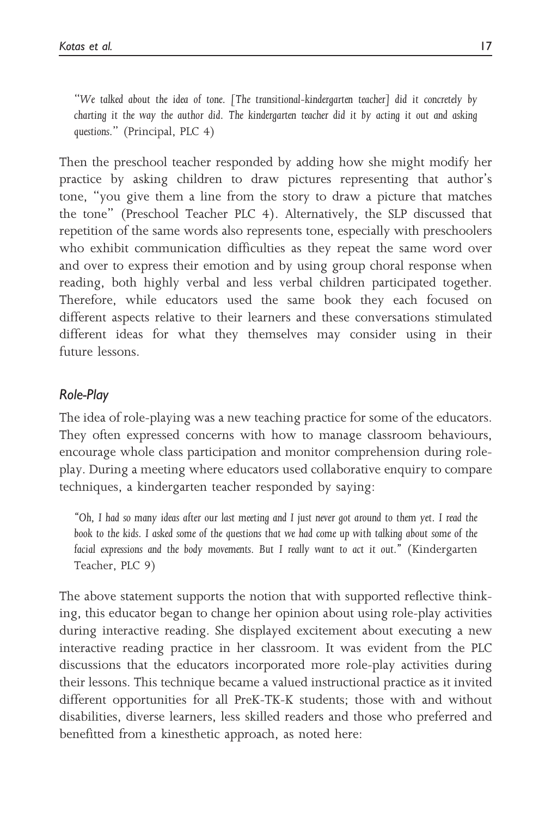"We talked about the idea of tone. [The transitional-kindergarten teacher] did it concretely by charting it the way the author did. The kindergarten teacher did it by acting it out and asking questions." (Principal, PLC 4)

Then the preschool teacher responded by adding how she might modify her practice by asking children to draw pictures representing that author's tone, "you give them a line from the story to draw a picture that matches the tone" (Preschool Teacher PLC 4). Alternatively, the SLP discussed that repetition of the same words also represents tone, especially with preschoolers who exhibit communication difficulties as they repeat the same word over and over to express their emotion and by using group choral response when reading, both highly verbal and less verbal children participated together. Therefore, while educators used the same book they each focused on different aspects relative to their learners and these conversations stimulated different ideas for what they themselves may consider using in their future lessons.

# Role-Play

The idea of role-playing was a new teaching practice for some of the educators. They often expressed concerns with how to manage classroom behaviours, encourage whole class participation and monitor comprehension during roleplay. During a meeting where educators used collaborative enquiry to compare techniques, a kindergarten teacher responded by saying:

"Oh, I had so many ideas after our last meeting and I just never got around to them yet. I read the book to the kids. I asked some of the questions that we had come up with talking about some of the facial expressions and the body movements. But I really want to act it out." (Kindergarten Teacher, PLC 9)

The above statement supports the notion that with supported reflective thinking, this educator began to change her opinion about using role-play activities during interactive reading. She displayed excitement about executing a new interactive reading practice in her classroom. It was evident from the PLC discussions that the educators incorporated more role-play activities during their lessons. This technique became a valued instructional practice as it invited different opportunities for all PreK-TK-K students; those with and without disabilities, diverse learners, less skilled readers and those who preferred and benefitted from a kinesthetic approach, as noted here: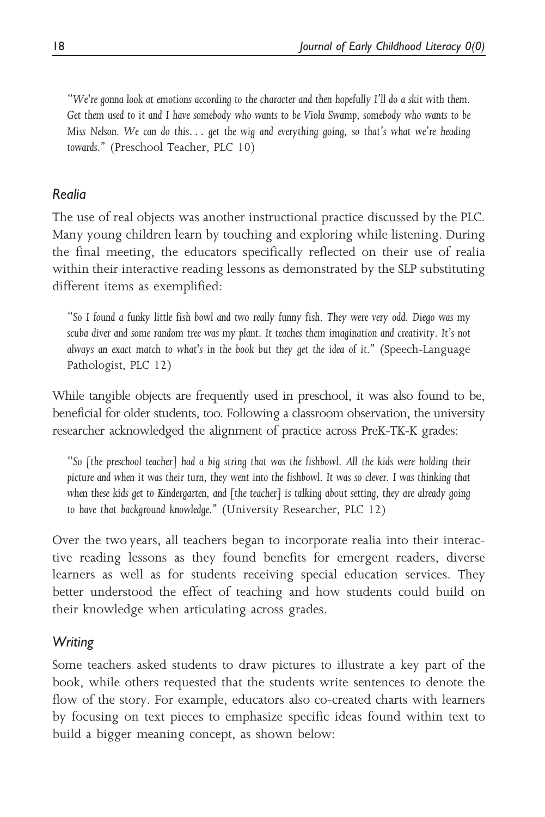"We're gonna look at emotions according to the character and then hopefully I'll do a skit with them. Get them used to it and I have somebody who wants to be Viola Swamp, somebody who wants to be Miss Nelson. We can do this... get the wig and everything going, so that's what we're heading towards." (Preschool Teacher, PLC 10)

## Realia

The use of real objects was another instructional practice discussed by the PLC. Many young children learn by touching and exploring while listening. During the final meeting, the educators specifically reflected on their use of realia within their interactive reading lessons as demonstrated by the SLP substituting different items as exemplified:

"So I found a funky little fish bowl and two really funny fish. They were very odd. Diego was my scuba diver and some random tree was my plant. It teaches them imagination and creativity. It's not always an exact match to what's in the book but they get the idea of it." (Speech-Language Pathologist, PLC 12)

While tangible objects are frequently used in preschool, it was also found to be, beneficial for older students, too. Following a classroom observation, the university researcher acknowledged the alignment of practice across PreK-TK-K grades:

"So [the preschool teacher] had a big string that was the fishbowl. All the kids were holding their picture and when it was their turn, they went into the fishbowl. It was so clever. I was thinking that when these kids get to Kindergarten, and [the teacher] is talking about setting, they are already going to have that background knowledge." (University Researcher, PLC 12)

Over the two years, all teachers began to incorporate realia into their interactive reading lessons as they found benefits for emergent readers, diverse learners as well as for students receiving special education services. They better understood the effect of teaching and how students could build on their knowledge when articulating across grades.

# Writing

Some teachers asked students to draw pictures to illustrate a key part of the book, while others requested that the students write sentences to denote the flow of the story. For example, educators also co-created charts with learners by focusing on text pieces to emphasize specific ideas found within text to build a bigger meaning concept, as shown below: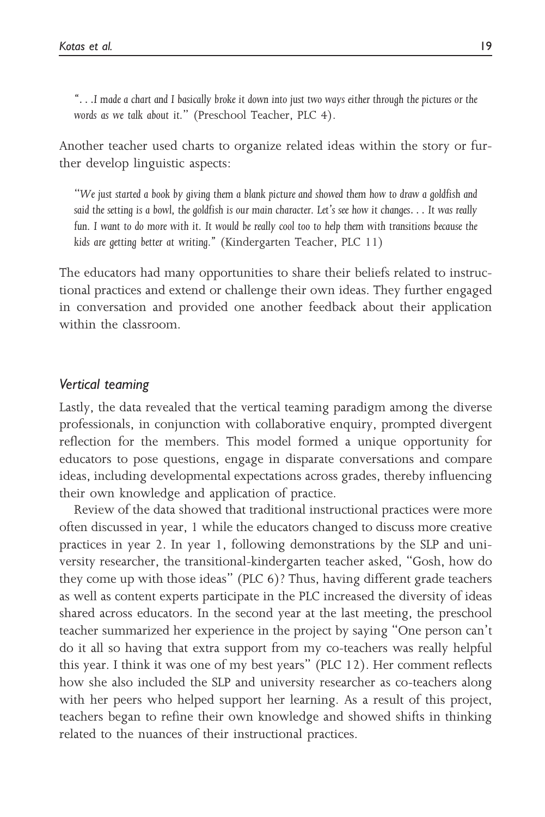"...I made a chart and I basically broke it down into just two ways either through the pictures or the words as we talk about it." (Preschool Teacher, PLC 4).

Another teacher used charts to organize related ideas within the story or further develop linguistic aspects:

"We just started a book by giving them a blank picture and showed them how to draw a goldfish and said the setting is a bowl, the goldfish is our main character. Let's see how it changes... It was really fun. I want to do more with it. It would be really cool too to help them with transitions because the kids are getting better at writing." (Kindergarten Teacher, PLC 11)

The educators had many opportunities to share their beliefs related to instructional practices and extend or challenge their own ideas. They further engaged in conversation and provided one another feedback about their application within the classroom.

#### Vertical teaming

Lastly, the data revealed that the vertical teaming paradigm among the diverse professionals, in conjunction with collaborative enquiry, prompted divergent reflection for the members. This model formed a unique opportunity for educators to pose questions, engage in disparate conversations and compare ideas, including developmental expectations across grades, thereby influencing their own knowledge and application of practice.

Review of the data showed that traditional instructional practices were more often discussed in year, 1 while the educators changed to discuss more creative practices in year 2. In year 1, following demonstrations by the SLP and university researcher, the transitional-kindergarten teacher asked, "Gosh, how do they come up with those ideas" (PLC 6)? Thus, having different grade teachers as well as content experts participate in the PLC increased the diversity of ideas shared across educators. In the second year at the last meeting, the preschool teacher summarized her experience in the project by saying "One person can't do it all so having that extra support from my co-teachers was really helpful this year. I think it was one of my best years" (PLC 12). Her comment reflects how she also included the SLP and university researcher as co-teachers along with her peers who helped support her learning. As a result of this project, teachers began to refine their own knowledge and showed shifts in thinking related to the nuances of their instructional practices.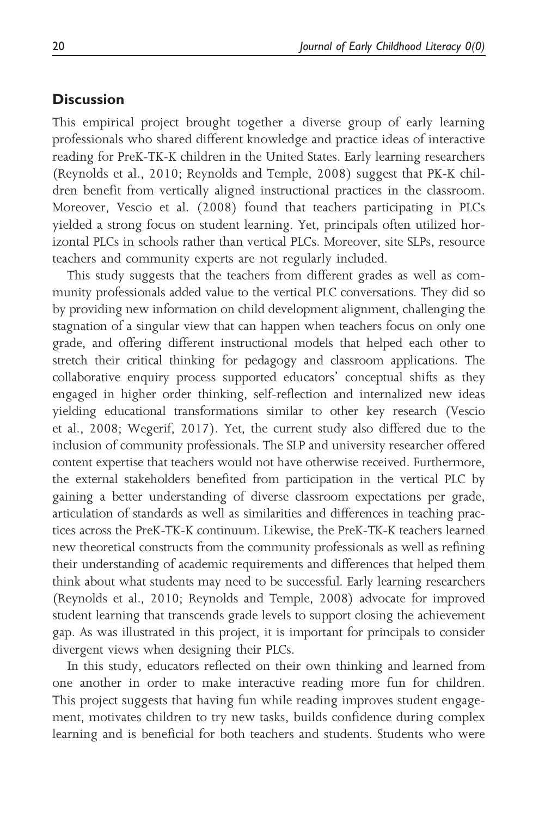#### **Discussion**

This empirical project brought together a diverse group of early learning professionals who shared different knowledge and practice ideas of interactive reading for PreK-TK-K children in the United States. Early learning researchers (Reynolds et al., 2010; Reynolds and Temple, 2008) suggest that PK-K children benefit from vertically aligned instructional practices in the classroom. Moreover, Vescio et al. (2008) found that teachers participating in PLCs yielded a strong focus on student learning. Yet, principals often utilized horizontal PLCs in schools rather than vertical PLCs. Moreover, site SLPs, resource teachers and community experts are not regularly included.

This study suggests that the teachers from different grades as well as community professionals added value to the vertical PLC conversations. They did so by providing new information on child development alignment, challenging the stagnation of a singular view that can happen when teachers focus on only one grade, and offering different instructional models that helped each other to stretch their critical thinking for pedagogy and classroom applications. The collaborative enquiry process supported educators' conceptual shifts as they engaged in higher order thinking, self-reflection and internalized new ideas yielding educational transformations similar to other key research (Vescio et al., 2008; Wegerif, 2017). Yet, the current study also differed due to the inclusion of community professionals. The SLP and university researcher offered content expertise that teachers would not have otherwise received. Furthermore, the external stakeholders benefited from participation in the vertical PLC by gaining a better understanding of diverse classroom expectations per grade, articulation of standards as well as similarities and differences in teaching practices across the PreK-TK-K continuum. Likewise, the PreK-TK-K teachers learned new theoretical constructs from the community professionals as well as refining their understanding of academic requirements and differences that helped them think about what students may need to be successful. Early learning researchers (Reynolds et al., 2010; Reynolds and Temple, 2008) advocate for improved student learning that transcends grade levels to support closing the achievement gap. As was illustrated in this project, it is important for principals to consider divergent views when designing their PLCs.

In this study, educators reflected on their own thinking and learned from one another in order to make interactive reading more fun for children. This project suggests that having fun while reading improves student engagement, motivates children to try new tasks, builds confidence during complex learning and is beneficial for both teachers and students. Students who were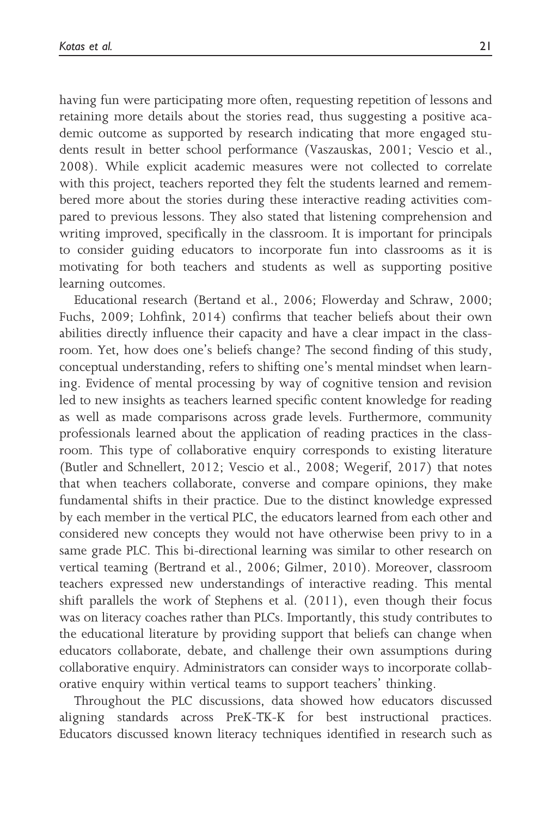having fun were participating more often, requesting repetition of lessons and retaining more details about the stories read, thus suggesting a positive academic outcome as supported by research indicating that more engaged students result in better school performance (Vaszauskas, 2001; Vescio et al., 2008). While explicit academic measures were not collected to correlate with this project, teachers reported they felt the students learned and remembered more about the stories during these interactive reading activities compared to previous lessons. They also stated that listening comprehension and writing improved, specifically in the classroom. It is important for principals to consider guiding educators to incorporate fun into classrooms as it is motivating for both teachers and students as well as supporting positive learning outcomes.

Educational research (Bertand et al., 2006; Flowerday and Schraw, 2000; Fuchs, 2009; Lohfink, 2014) confirms that teacher beliefs about their own abilities directly influence their capacity and have a clear impact in the classroom. Yet, how does one's beliefs change? The second finding of this study, conceptual understanding, refers to shifting one's mental mindset when learning. Evidence of mental processing by way of cognitive tension and revision led to new insights as teachers learned specific content knowledge for reading as well as made comparisons across grade levels. Furthermore, community professionals learned about the application of reading practices in the classroom. This type of collaborative enquiry corresponds to existing literature (Butler and Schnellert, 2012; Vescio et al., 2008; Wegerif, 2017) that notes that when teachers collaborate, converse and compare opinions, they make fundamental shifts in their practice. Due to the distinct knowledge expressed by each member in the vertical PLC, the educators learned from each other and considered new concepts they would not have otherwise been privy to in a same grade PLC. This bi-directional learning was similar to other research on vertical teaming (Bertrand et al., 2006; Gilmer, 2010). Moreover, classroom teachers expressed new understandings of interactive reading. This mental shift parallels the work of Stephens et al. (2011), even though their focus was on literacy coaches rather than PLCs. Importantly, this study contributes to the educational literature by providing support that beliefs can change when educators collaborate, debate, and challenge their own assumptions during collaborative enquiry. Administrators can consider ways to incorporate collaborative enquiry within vertical teams to support teachers' thinking.

Throughout the PLC discussions, data showed how educators discussed aligning standards across PreK-TK-K for best instructional practices. Educators discussed known literacy techniques identified in research such as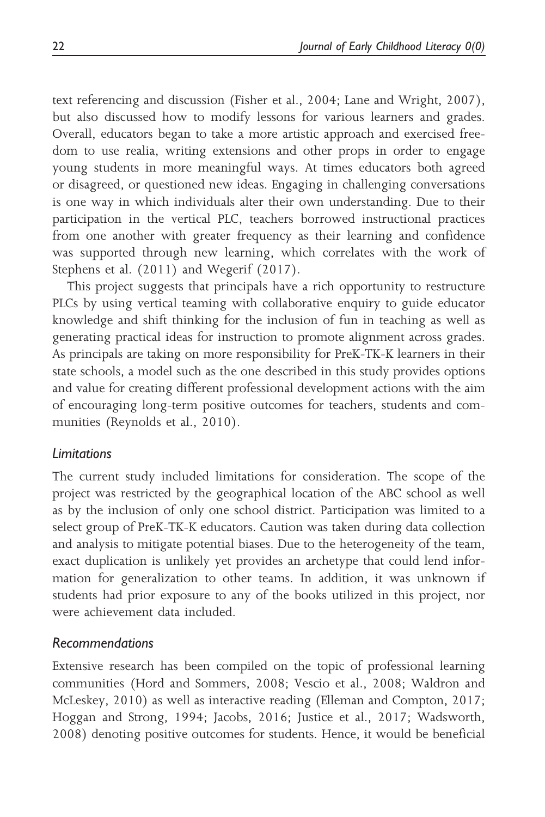text referencing and discussion (Fisher et al., 2004; Lane and Wright, 2007), but also discussed how to modify lessons for various learners and grades. Overall, educators began to take a more artistic approach and exercised freedom to use realia, writing extensions and other props in order to engage young students in more meaningful ways. At times educators both agreed or disagreed, or questioned new ideas. Engaging in challenging conversations is one way in which individuals alter their own understanding. Due to their participation in the vertical PLC, teachers borrowed instructional practices from one another with greater frequency as their learning and confidence was supported through new learning, which correlates with the work of Stephens et al. (2011) and Wegerif (2017).

This project suggests that principals have a rich opportunity to restructure PLCs by using vertical teaming with collaborative enquiry to guide educator knowledge and shift thinking for the inclusion of fun in teaching as well as generating practical ideas for instruction to promote alignment across grades. As principals are taking on more responsibility for PreK-TK-K learners in their state schools, a model such as the one described in this study provides options and value for creating different professional development actions with the aim of encouraging long-term positive outcomes for teachers, students and communities (Reynolds et al., 2010).

### Limitations

The current study included limitations for consideration. The scope of the project was restricted by the geographical location of the ABC school as well as by the inclusion of only one school district. Participation was limited to a select group of PreK-TK-K educators. Caution was taken during data collection and analysis to mitigate potential biases. Due to the heterogeneity of the team, exact duplication is unlikely yet provides an archetype that could lend information for generalization to other teams. In addition, it was unknown if students had prior exposure to any of the books utilized in this project, nor were achievement data included.

### Recommendations

Extensive research has been compiled on the topic of professional learning communities (Hord and Sommers, 2008; Vescio et al., 2008; Waldron and McLeskey, 2010) as well as interactive reading (Elleman and Compton, 2017; Hoggan and Strong, 1994; Jacobs, 2016; Justice et al., 2017; Wadsworth, 2008) denoting positive outcomes for students. Hence, it would be beneficial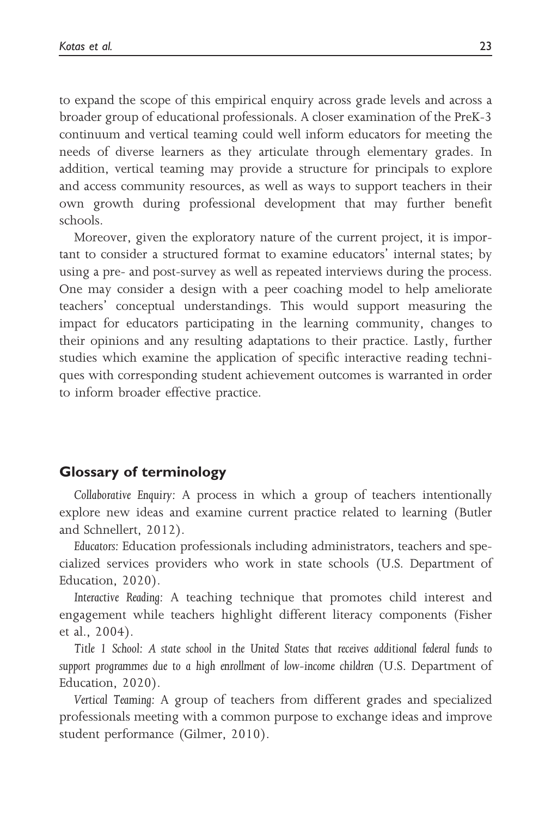to expand the scope of this empirical enquiry across grade levels and across a broader group of educational professionals. A closer examination of the PreK-3 continuum and vertical teaming could well inform educators for meeting the needs of diverse learners as they articulate through elementary grades. In addition, vertical teaming may provide a structure for principals to explore and access community resources, as well as ways to support teachers in their own growth during professional development that may further benefit schools.

Moreover, given the exploratory nature of the current project, it is important to consider a structured format to examine educators' internal states; by using a pre- and post-survey as well as repeated interviews during the process. One may consider a design with a peer coaching model to help ameliorate teachers' conceptual understandings. This would support measuring the impact for educators participating in the learning community, changes to their opinions and any resulting adaptations to their practice. Lastly, further studies which examine the application of specific interactive reading techniques with corresponding student achievement outcomes is warranted in order to inform broader effective practice.

#### Glossary of terminology

Collaborative Enquiry: A process in which a group of teachers intentionally explore new ideas and examine current practice related to learning (Butler and Schnellert, 2012).

Educators: Education professionals including administrators, teachers and specialized services providers who work in state schools (U.S. Department of Education, 2020).

Interactive Reading: A teaching technique that promotes child interest and engagement while teachers highlight different literacy components (Fisher et al., 2004).

Title 1 School: A state school in the United States that receives additional federal funds to support programmes due to a high enrollment of low-income children (U.S. Department of Education, 2020).

Vertical Teaming: A group of teachers from different grades and specialized professionals meeting with a common purpose to exchange ideas and improve student performance (Gilmer, 2010).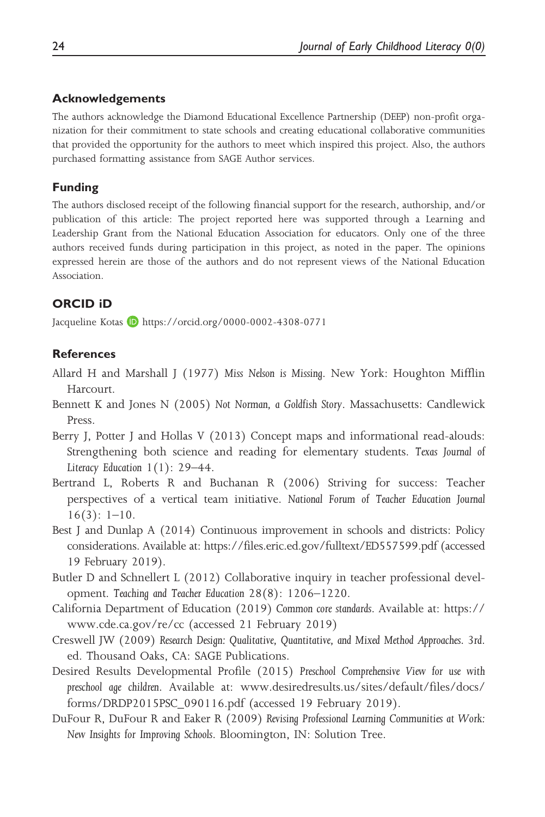#### Acknowledgements

The authors acknowledge the Diamond Educational Excellence Partnership (DEEP) non-profit organization for their commitment to state schools and creating educational collaborative communities that provided the opportunity for the authors to meet which inspired this project. Also, the authors purchased formatting assistance from SAGE Author services.

#### Funding

The authors disclosed receipt of the following financial support for the research, authorship, and/or publication of this article: The project reported here was supported through a Learning and Leadership Grant from the National Education Association for educators. Only one of the three authors received funds during participation in this project, as noted in the paper. The opinions expressed herein are those of the authors and do not represent views of the National Education Association.

#### ORCID iD

Jacqueline Kotas **h**ttps://orcid.org/0000-0002-4308-0771

#### **References**

- Allard H and Marshall J (1977) Miss Nelson is Missing. New York: Houghton Mifflin Harcourt.
- Bennett K and Jones N (2005) Not Norman, a Goldfish Story. Massachusetts: Candlewick Press.
- Berry J, Potter J and Hollas V (2013) Concept maps and informational read-alouds: Strengthening both science and reading for elementary students. Texas Journal of Literacy Education  $1(1)$ : 29–44.
- Bertrand L, Roberts R and Buchanan R (2006) Striving for success: Teacher perspectives of a vertical team initiative. National Forum of Teacher Education Journal  $16(3): 1-10.$
- Best J and Dunlap A (2014) Continuous improvement in schools and districts: Policy considerations. Available at:<https://files.eric.ed.gov/fulltext/ED557599.pdf> (accessed 19 February 2019).
- Butler D and Schnellert L (2012) Collaborative inquiry in teacher professional development. Teaching and Teacher Education 28(8): 1206–1220.
- California Department of Education (2019) Common core standards. Available at: [https://](https://www.cde.ca.gov/re/cc) [www.cde.ca.gov/re/cc](https://www.cde.ca.gov/re/cc) (accessed 21 February 2019)
- Creswell JW (2009) Research Design: Qualitative, Quantitative, and Mixed Method Approaches. 3rd. ed. Thousand Oaks, CA: SAGE Publications.
- Desired Results Developmental Profile (2015) Preschool Comprehensive View for use with preschool age children. Available at: [www.desiredresults.us/sites/default/files/docs/](http://www.desiredresults.us/sites/default/files/docs/forms/DRDP2015PSC_090116.pdf) [forms/DRDP2015PSC\\_090116.pdf](http://www.desiredresults.us/sites/default/files/docs/forms/DRDP2015PSC_090116.pdf) (accessed 19 February 2019).
- DuFour R, DuFour R and Eaker R (2009) Revising Professional Learning Communities at Work: New Insights for Improving Schools. Bloomington, IN: Solution Tree.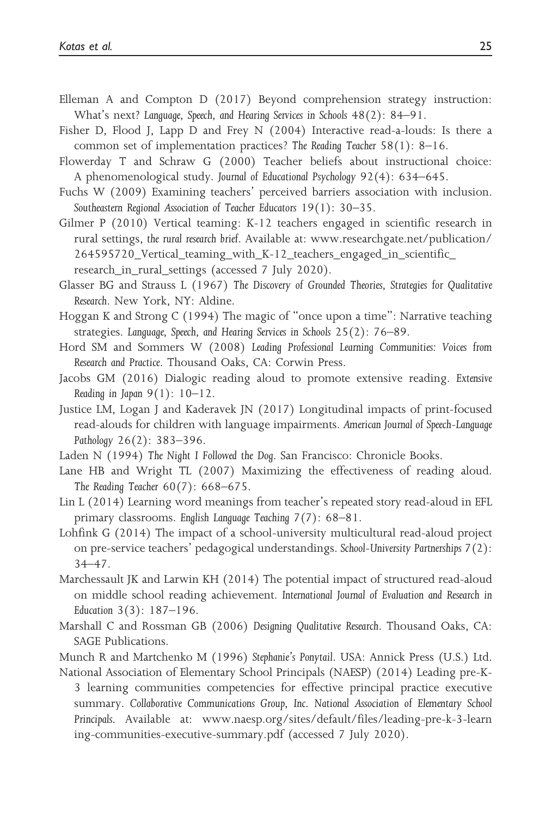- Elleman A and Compton D (2017) Beyond comprehension strategy instruction: What's next? Language, Speech, and Hearing Services in Schools 48(2): 84–91.
- Fisher D, Flood J, Lapp D and Frey N (2004) Interactive read-a-louds: Is there a common set of implementation practices? The Reading Teacher 58(1): 8–16.
- Flowerday T and Schraw G (2000) Teacher beliefs about instructional choice: A phenomenological study. Journal of Educational Psychology 92(4): 634–645.
- Fuchs W (2009) Examining teachers' perceived barriers association with inclusion. Southeastern Regional Association of Teacher Educators 19(1): 30–35.
- Gilmer P (2010) Vertical teaming: K-12 teachers engaged in scientific research in rural settings, the rural research brief. Available at: [www.researchgate.net/publication/](http://www.researchgate.net/publication/264595720_Vertical_teaming_with_K-12_teachers_engaged_in_scientific_research_in_rural_settings)  $264595720$  Vertical teaming with K-12 teachers engaged in scientific research in rural settings (accessed 7 July 2020).
- Glasser BG and Strauss L (1967) The Discovery of Grounded Theories, Strategies for Qualitative Research. New York, NY: Aldine.
- Hoggan K and Strong C (1994) The magic of "once upon a time": Narrative teaching strategies. Language, Speech, and Hearing Services in Schools 25(2): 76–89.
- Hord SM and Sommers W (2008) Leading Professional Learning Communities: Voices from Research and Practice. Thousand Oaks, CA: Corwin Press.
- Jacobs GM (2016) Dialogic reading aloud to promote extensive reading. Extensive Reading in Japan  $9(1)$ :  $10-12$ .
- Justice LM, Logan J and Kaderavek JN (2017) Longitudinal impacts of print-focused read-alouds for children with language impairments. American Journal of Speech-Language Pathology 26(2): 383–396.
- Laden N (1994) The Night I Followed the Dog. San Francisco: Chronicle Books.
- Lane HB and Wright TL (2007) Maximizing the effectiveness of reading aloud. The Reading Teacher 60(7): 668–675.
- Lin L (2014) Learning word meanings from teacher's repeated story read-aloud in EFL primary classrooms. English Language Teaching 7(7): 68–81.
- Lohfink G (2014) The impact of a school-university multicultural read-aloud project on pre-service teachers' pedagogical understandings. School-University Partnerships 7(2): 34–47.
- Marchessault JK and Larwin KH (2014) The potential impact of structured read-aloud on middle school reading achievement. International Journal of Evaluation and Research in Education 3(3): 187–196.
- Marshall C and Rossman GB (2006) Designing Qualitative Research. Thousand Oaks, CA: SAGE Publications.

Munch R and Martchenko M (1996) Stephanie's Ponytail. USA: Annick Press (U.S.) Ltd. National Association of Elementary School Principals (NAESP) (2014) Leading pre-K-

3 learning communities competencies for effective principal practice executive summary. Collaborative Communications Group, Inc. National Association of Elementary School Principals. Available at: [www.naesp.org/sites/default/files/leading-pre-k-3-learn](http://www.naesp.org/sites/default/files/leading-pre-k-3-learning-communities-executive-summary.pdf) [ing-communities-executive-summary.pdf](http://www.naesp.org/sites/default/files/leading-pre-k-3-learning-communities-executive-summary.pdf) (accessed 7 July 2020).